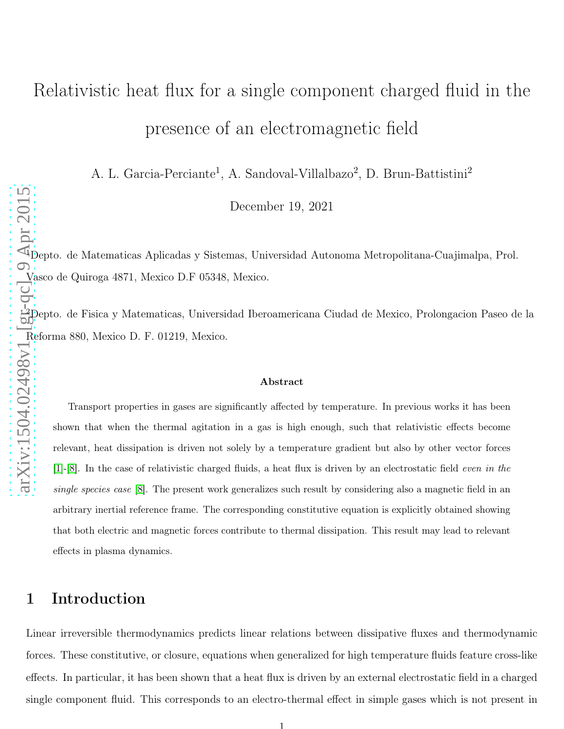# Relativistic heat flux for a single component charged fluid in the presence of an electromagnetic field

A. L. Garcia-Perciante<sup>1</sup>, A. Sandoval-Villalbazo<sup>2</sup>, D. Brun-Battistini<sup>2</sup>

December 19, 2021

<sup>1</sup>Depto. de Matematicas Aplicadas y Sistemas, Universidad Autonoma Metropolitana-Cuajimalpa, Prol. Vasco de Quiroga 4871, Mexico D.F 05348, Mexico.

<sup>2</sup>Depto. de Fisica y Matematicas, Universidad Iberoamericana Ciudad de Mexico, Prolongacion Paseo de la Reforma 880, Mexico D. F. 01219, Mexico.

#### Abstract

Transport properties in gases are significantly affected by temperature. In previous works it has been shown that when the thermal agitation in a gas is high enough, such that relativistic effects become relevant, heat dissipation is driven not solely by a temperature gradient but also by other vector forces [\[1\]](#page-10-0)-[\[8\]](#page-10-1). In the case of relativistic charged fluids, a heat flux is driven by an electrostatic field even in the single species case [\[8\]](#page-10-1). The present work generalizes such result by considering also a magnetic field in an arbitrary inertial reference frame. The corresponding constitutive equation is explicitly obtained showing that both electric and magnetic forces contribute to thermal dissipation. This result may lead to relevant effects in plasma dynamics.

## 1 Introduction

Linear irreversible thermodynamics predicts linear relations between dissipative fluxes and thermodynamic forces. These constitutive, or closure, equations when generalized for high temperature fluids feature cross-like effects. In particular, it has been shown that a heat flux is driven by an external electrostatic field in a charged single component fluid. This corresponds to an electro-thermal effect in simple gases which is not present in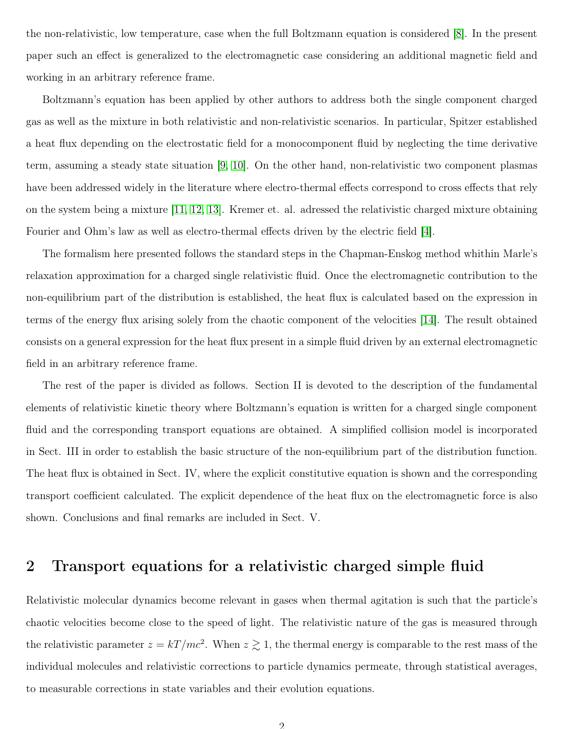the non-relativistic, low temperature, case when the full Boltzmann equation is considered [\[8\]](#page-10-1). In the present paper such an effect is generalized to the electromagnetic case considering an additional magnetic field and working in an arbitrary reference frame.

Boltzmann's equation has been applied by other authors to address both the single component charged gas as well as the mixture in both relativistic and non-relativistic scenarios. In particular, Spitzer established a heat flux depending on the electrostatic field for a monocomponent fluid by neglecting the time derivative term, assuming a steady state situation [\[9,](#page-10-2) [10\]](#page-11-0). On the other hand, non-relativistic two component plasmas have been addressed widely in the literature where electro-thermal effects correspond to cross effects that rely on the system being a mixture [\[11,](#page-11-1) [12,](#page-11-2) [13\]](#page-11-3). Kremer et. al. adressed the relativistic charged mixture obtaining Fourier and Ohm's law as well as electro-thermal effects driven by the electric field [\[4\]](#page-10-3).

The formalism here presented follows the standard steps in the Chapman-Enskog method whithin Marle's relaxation approximation for a charged single relativistic fluid. Once the electromagnetic contribution to the non-equilibrium part of the distribution is established, the heat flux is calculated based on the expression in terms of the energy flux arising solely from the chaotic component of the velocities [\[14\]](#page-11-4). The result obtained consists on a general expression for the heat flux present in a simple fluid driven by an external electromagnetic field in an arbitrary reference frame.

The rest of the paper is divided as follows. Section II is devoted to the description of the fundamental elements of relativistic kinetic theory where Boltzmann's equation is written for a charged single component fluid and the corresponding transport equations are obtained. A simplified collision model is incorporated in Sect. III in order to establish the basic structure of the non-equilibrium part of the distribution function. The heat flux is obtained in Sect. IV, where the explicit constitutive equation is shown and the corresponding transport coefficient calculated. The explicit dependence of the heat flux on the electromagnetic force is also shown. Conclusions and final remarks are included in Sect. V.

## 2 Transport equations for a relativistic charged simple fluid

Relativistic molecular dynamics become relevant in gases when thermal agitation is such that the particle's chaotic velocities become close to the speed of light. The relativistic nature of the gas is measured through the relativistic parameter  $z = kT/mc^2$ . When  $z \gtrsim 1$ , the thermal energy is comparable to the rest mass of the individual molecules and relativistic corrections to particle dynamics permeate, through statistical averages, to measurable corrections in state variables and their evolution equations.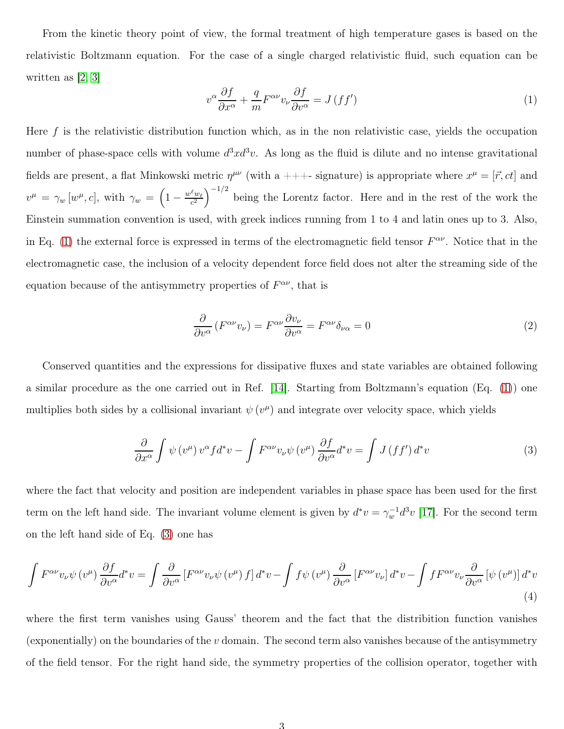From the kinetic theory point of view, the formal treatment of high temperature gases is based on the relativistic Boltzmann equation. For the case of a single charged relativistic fluid, such equation can be written as [2, [3\]](#page-10-4)

<span id="page-2-0"></span>
$$
v^{\alpha} \frac{\partial f}{\partial x^{\alpha}} + \frac{q}{m} F^{\alpha \nu} v_{\nu} \frac{\partial f}{\partial v^{\alpha}} = J \left( f f' \right)
$$
 (1)

Here  $f$  is the relativistic distribution function which, as in the non relativistic case, yields the occupation number of phase-space cells with volume  $d^3x d^3v$ . As long as the fluid is dilute and no intense gravitational fields are present, a flat Minkowski metric  $\eta^{\mu\nu}$  (with a +++- signature) is appropriate where  $x^{\mu} = [\vec{r}, ct]$  and  $v^{\mu} = \gamma_w \left[ w^{\mu}, c \right], \text{ with } \gamma_w = \left( 1 - \frac{w^{\ell} w_{\ell}}{c^2} \right)$  $\frac{\ell_{w_{\ell}}}{c^2}$  being the Lorentz factor. Here and in the rest of the work the Einstein summation convention is used, with greek indices running from 1 to 4 and latin ones up to 3. Also, in Eq. [\(1\)](#page-2-0) the external force is expressed in terms of the electromagnetic field tensor  $F^{\alpha\nu}$ . Notice that in the electromagnetic case, the inclusion of a velocity dependent force field does not alter the streaming side of the equation because of the antisymmetry properties of  $F^{\alpha\nu}$ , that is

$$
\frac{\partial}{\partial v^{\alpha}} \left( F^{\alpha \nu} v_{\nu} \right) = F^{\alpha \nu} \frac{\partial v_{\nu}}{\partial v^{\alpha}} = F^{\alpha \nu} \delta_{\nu \alpha} = 0 \tag{2}
$$

Conserved quantities and the expressions for dissipative fluxes and state variables are obtained following a similar procedure as the one carried out in Ref. [\[14\]](#page-11-4). Starting from Boltzmann's equation (Eq. [\(1\)](#page-2-0)) one multiplies both sides by a collisional invariant  $\psi(v^{\mu})$  and integrate over velocity space, which yields

<span id="page-2-1"></span>
$$
\frac{\partial}{\partial x^{\alpha}} \int \psi(v^{\mu}) v^{\alpha} f d^* v - \int F^{\alpha \nu} v_{\nu} \psi(v^{\mu}) \frac{\partial f}{\partial v^{\alpha}} d^* v = \int J(f f') d^* v \tag{3}
$$

where the fact that velocity and position are independent variables in phase space has been used for the first term on the left hand side. The invariant volume element is given by  $d^*v = \gamma_w^{-1} d^3v$  [\[17\]](#page-11-5). For the second term on the left hand side of Eq. [\(3\)](#page-2-1) one has

$$
\int F^{\alpha\nu}v_{\nu}\psi(v^{\mu})\frac{\partial f}{\partial v^{\alpha}}d^{*}v = \int \frac{\partial}{\partial v^{\alpha}}\left[F^{\alpha\nu}v_{\nu}\psi(v^{\mu})f\right]d^{*}v - \int f\psi(v^{\mu})\frac{\partial}{\partial v^{\alpha}}\left[F^{\alpha\nu}v_{\nu}\right]d^{*}v - \int f F^{\alpha\nu}v_{\nu}\frac{\partial}{\partial v^{\alpha}}\left[\psi(v^{\mu})\right]d^{*}v
$$
\n(4)

where the first term vanishes using Gauss' theorem and the fact that the distribition function vanishes (exponentially) on the boundaries of the  $v$  domain. The second term also vanishes because of the antisymmetry of the field tensor. For the right hand side, the symmetry properties of the collision operator, together with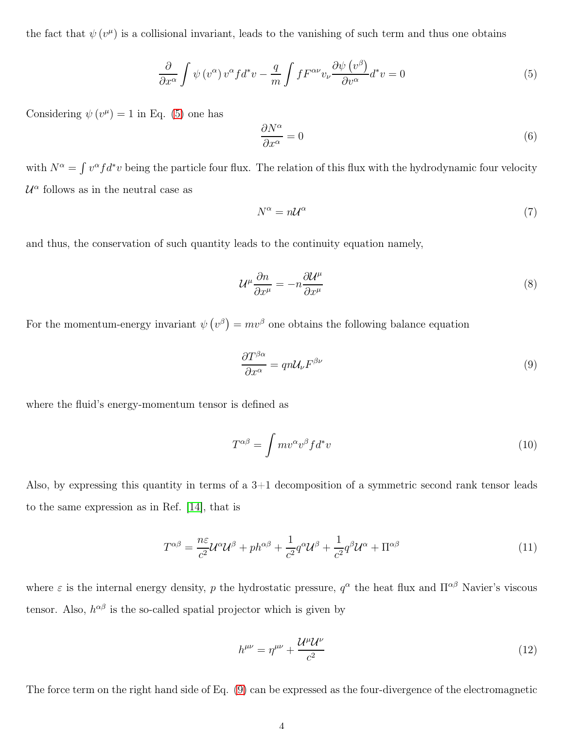the fact that  $\psi(v^{\mu})$  is a collisional invariant, leads to the vanishing of such term and thus one obtains

<span id="page-3-0"></span>
$$
\frac{\partial}{\partial x^{\alpha}} \int \psi(v^{\alpha}) v^{\alpha} f d^* v - \frac{q}{m} \int f F^{\alpha \nu} v_{\nu} \frac{\partial \psi(v^{\beta})}{\partial v^{\alpha}} d^* v = 0
$$
\n(5)

Considering  $\psi(v^{\mu}) = 1$  in Eq. [\(5\)](#page-3-0) one has

$$
\frac{\partial N^{\alpha}}{\partial x^{\alpha}} = 0 \tag{6}
$$

with  $N^{\alpha} = \int v^{\alpha} f d^* v$  being the particle four flux. The relation of this flux with the hydrodynamic four velocity  $\mathcal{U}^{\alpha}$  follows as in the neutral case as

$$
N^{\alpha} = n\mathcal{U}^{\alpha} \tag{7}
$$

and thus, the conservation of such quantity leads to the continuity equation namely,

<span id="page-3-2"></span>
$$
\mathcal{U}^{\mu}\frac{\partial n}{\partial x^{\mu}} = -n\frac{\partial \mathcal{U}^{\mu}}{\partial x^{\mu}}
$$
\n(8)

For the momentum-energy invariant  $\psi(v^{\beta}) = mv^{\beta}$  one obtains the following balance equation

<span id="page-3-1"></span>
$$
\frac{\partial T^{\beta\alpha}}{\partial x^{\alpha}} = qn\mathcal{U}_{\nu}F^{\beta\nu} \tag{9}
$$

where the fluid's energy-momentum tensor is defined as

$$
T^{\alpha\beta} = \int m v^{\alpha} v^{\beta} f d^* v \tag{10}
$$

Also, by expressing this quantity in terms of a  $3+1$  decomposition of a symmetric second rank tensor leads to the same expression as in Ref. [\[14\]](#page-11-4), that is

$$
T^{\alpha\beta} = \frac{n\varepsilon}{c^2} \mathcal{U}^{\alpha} \mathcal{U}^{\beta} + p h^{\alpha\beta} + \frac{1}{c^2} q^{\alpha} \mathcal{U}^{\beta} + \frac{1}{c^2} q^{\beta} \mathcal{U}^{\alpha} + \Pi^{\alpha\beta} \tag{11}
$$

where  $\varepsilon$  is the internal energy density, p the hydrostatic pressure,  $q^{\alpha}$  the heat flux and  $\Pi^{\alpha\beta}$  Navier's viscous tensor. Also,  $h^{\alpha\beta}$  is the so-called spatial projector which is given by

$$
h^{\mu\nu} = \eta^{\mu\nu} + \frac{\mathcal{U}^{\mu}\mathcal{U}^{\nu}}{c^2} \tag{12}
$$

The force term on the right hand side of Eq. [\(9\)](#page-3-1) can be expressed as the four-divergence of the electromagnetic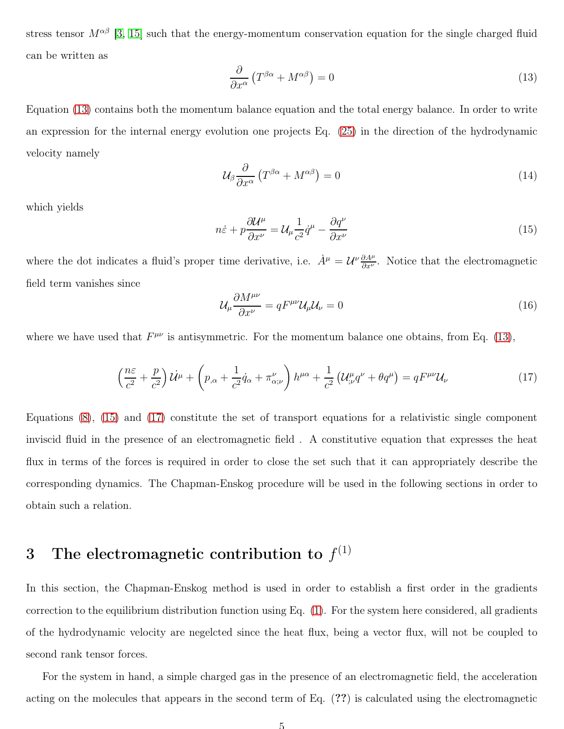stress tensor  $M^{\alpha\beta}$  [\[3,](#page-10-4) [15\]](#page-11-6) such that the energy-momentum conservation equation for the single charged fluid can be written as

<span id="page-4-0"></span>
$$
\frac{\partial}{\partial x^{\alpha}} \left( T^{\beta \alpha} + M^{\alpha \beta} \right) = 0 \tag{13}
$$

Equation [\(13\)](#page-4-0) contains both the momentum balance equation and the total energy balance. In order to write an expression for the internal energy evolution one projects Eq. [\(25\)](#page-6-0) in the direction of the hydrodynamic velocity namely

$$
\mathcal{U}_{\beta} \frac{\partial}{\partial x^{\alpha}} \left( T^{\beta \alpha} + M^{\alpha \beta} \right) = 0 \tag{14}
$$

which yields

<span id="page-4-1"></span>
$$
n\dot{\varepsilon} + p\frac{\partial \mathcal{U}^{\mu}}{\partial x^{\nu}} = \mathcal{U}_{\mu}\frac{1}{c^2}\dot{q}^{\mu} - \frac{\partial q^{\nu}}{\partial x^{\nu}}
$$
(15)

where the dot indicates a fluid's proper time derivative, i.e.  $\dot{A}^{\mu} = \mathcal{U}^{\nu} \frac{\partial A^{\mu}}{\partial x^{\nu}}$ . Notice that the electromagnetic field term vanishes since

$$
\mathcal{U}_{\mu} \frac{\partial M^{\mu \nu}}{\partial x^{\nu}} = q F^{\mu \nu} \mathcal{U}_{\mu} \mathcal{U}_{\nu} = 0 \tag{16}
$$

where we have used that  $F^{\mu\nu}$  is antisymmetric. For the momentum balance one obtains, from Eq. [\(13\)](#page-4-0),

<span id="page-4-2"></span>
$$
\left(\frac{n\varepsilon}{c^2} + \frac{p}{c^2}\right)\dot{\mathcal{U}}^{\mu} + \left(p_{,\alpha} + \frac{1}{c^2}\dot{q}_{\alpha} + \pi^{\nu}_{\alpha;\nu}\right)h^{\mu\alpha} + \frac{1}{c^2}\left(\mathcal{U}^{\mu}_{;\nu}q^{\nu} + \theta q^{\mu}\right) = qF^{\mu\nu}\mathcal{U}_{\nu}
$$
\n(17)

Equations [\(8\)](#page-3-2), [\(15\)](#page-4-1) and [\(17\)](#page-4-2) constitute the set of transport equations for a relativistic single component inviscid fluid in the presence of an electromagnetic field . A constitutive equation that expresses the heat flux in terms of the forces is required in order to close the set such that it can appropriately describe the corresponding dynamics. The Chapman-Enskog procedure will be used in the following sections in order to obtain such a relation.

## 3 The electromagnetic contribution to  $f^{(1)}$

In this section, the Chapman-Enskog method is used in order to establish a first order in the gradients correction to the equilibrium distribution function using Eq. [\(1\)](#page-2-0). For the system here considered, all gradients of the hydrodynamic velocity are negelcted since the heat flux, being a vector flux, will not be coupled to second rank tensor forces.

For the system in hand, a simple charged gas in the presence of an electromagnetic field, the acceleration acting on the molecules that appears in the second term of Eq. (??) is calculated using the electromagnetic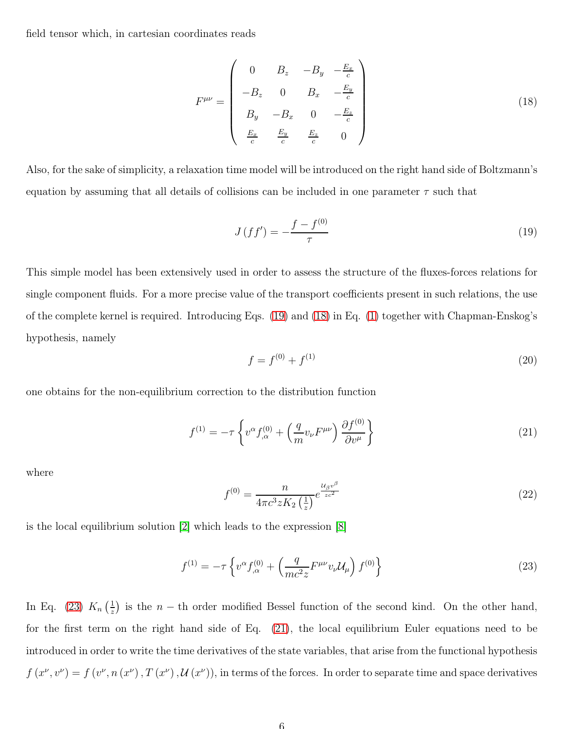field tensor which, in cartesian coordinates reads

<span id="page-5-1"></span>
$$
F^{\mu\nu} = \begin{pmatrix} 0 & B_z & -B_y & -\frac{E_x}{c} \\ -B_z & 0 & B_x & -\frac{E_y}{c} \\ B_y & -B_x & 0 & -\frac{E_z}{c} \\ \frac{E_x}{c} & \frac{E_y}{c} & \frac{E_z}{c} & 0 \end{pmatrix}
$$
(18)

Also, for the sake of simplicity, a relaxation time model will be introduced on the right hand side of Boltzmann's equation by assuming that all details of collisions can be included in one parameter  $\tau$  such that

<span id="page-5-0"></span>
$$
J(f f') = -\frac{f - f^{(0)}}{\tau} \tag{19}
$$

This simple model has been extensively used in order to assess the structure of the fluxes-forces relations for single component fluids. For a more precise value of the transport coefficients present in such relations, the use of the complete kernel is required. Introducing Eqs. [\(19\)](#page-5-0) and [\(18\)](#page-5-1) in Eq. [\(1\)](#page-2-0) together with Chapman-Enskog's hypothesis, namely

$$
f = f^{(0)} + f^{(1)} \tag{20}
$$

one obtains for the non-equilibrium correction to the distribution function

<span id="page-5-3"></span>
$$
f^{(1)} = -\tau \left\{ v^{\alpha} f^{(0)}_{,\alpha} + \left( \frac{q}{m} v_{\nu} F^{\mu \nu} \right) \frac{\partial f^{(0)}}{\partial v^{\mu}} \right\}
$$
 (21)

where

$$
f^{(0)} = \frac{n}{4\pi c^3 z K_2 \left(\frac{1}{z}\right)} e^{\frac{\mathcal{U}_{\beta} v^{\beta}}{z c^2}}
$$
(22)

is the local equilibrium solution [2] which leads to the expression [\[8\]](#page-10-1)

<span id="page-5-2"></span>
$$
f^{(1)} = -\tau \left\{ v^{\alpha} f^{(0)}_{,\alpha} + \left( \frac{q}{mc^2 z} F^{\mu \nu} v_{\nu} \mathcal{U}_{\mu} \right) f^{(0)} \right\}
$$
 (23)

In Eq. [\(23\)](#page-5-2)  $K_n\left(\frac{1}{z}\right)$  $\frac{1}{z}$ ) is the *n* – th order modified Bessel function of the second kind. On the other hand, for the first term on the right hand side of Eq. [\(21\)](#page-5-3), the local equilibrium Euler equations need to be introduced in order to write the time derivatives of the state variables, that arise from the functional hypothesis  $f(x^{\nu}, v^{\nu}) = f(v^{\nu}, n(x^{\nu}), T(x^{\nu}), \mathcal{U}(x^{\nu}))$ , in terms of the forces. In order to separate time and space derivatives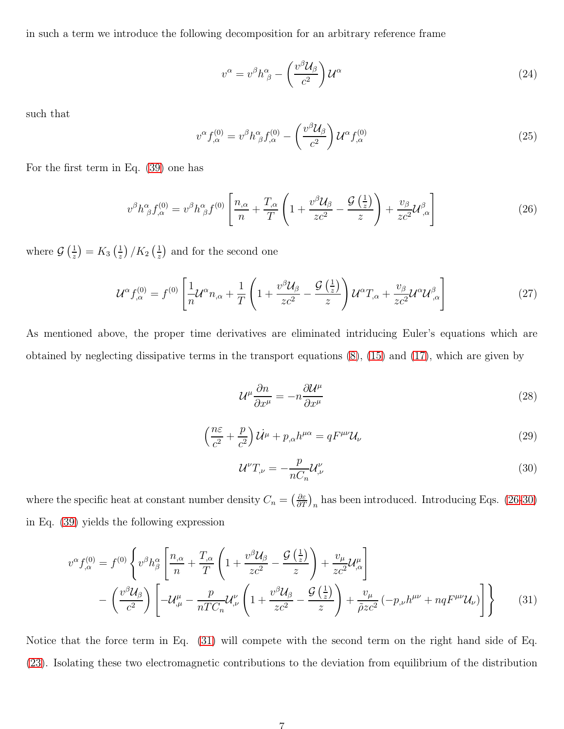in such a term we introduce the following decomposition for an arbitrary reference frame

$$
v^{\alpha} = v^{\beta} h^{\alpha}_{\ \beta} - \left(\frac{v^{\beta} \mathcal{U}_{\beta}}{c^2}\right) \mathcal{U}^{\alpha} \tag{24}
$$

such that

<span id="page-6-0"></span>
$$
v^{\alpha} f_{,\alpha}^{(0)} = v^{\beta} h^{\alpha}_{\ \beta} f_{,\alpha}^{(0)} - \left(\frac{v^{\beta} \mathcal{U}_{\beta}}{c^2}\right) \mathcal{U}^{\alpha} f_{,\alpha}^{(0)} \tag{25}
$$

For the first term in Eq. [\(39\)](#page-8-0) one has

<span id="page-6-1"></span>
$$
v^{\beta}h^{\alpha}_{\beta}f^{(0)}_{,\alpha} = v^{\beta}h^{\alpha}_{\beta}f^{(0)}\left[\frac{n_{,\alpha}}{n} + \frac{T_{,\alpha}}{T}\left(1 + \frac{v^{\beta}\mathcal{U}_{\beta}}{zc^2} - \frac{\mathcal{G}\left(\frac{1}{z}\right)}{z}\right) + \frac{v_{\beta}}{zc^2}\mathcal{U}^{\beta}_{,\alpha}\right]
$$
(26)

where  $\mathcal{G}\left(\frac{1}{z}\right)$  $\frac{1}{z}$ ) =  $K_3 \left(\frac{1}{z}\right)$  $\frac{1}{z}$ ) / $K_2$   $\left(\frac{1}{z}\right)$  $\frac{1}{z}$  and for the second one

$$
\mathcal{U}^{\alpha} f_{,\alpha}^{(0)} = f^{(0)} \left[ \frac{1}{n} \mathcal{U}^{\alpha} n_{,\alpha} + \frac{1}{T} \left( 1 + \frac{v^{\beta} \mathcal{U}_{\beta}}{zc^2} - \frac{\mathcal{G} \left( \frac{1}{z} \right)}{z} \right) \mathcal{U}^{\alpha} T_{,\alpha} + \frac{v_{\beta}}{zc^2} \mathcal{U}^{\alpha} \mathcal{U}^{\beta}_{,\alpha} \right]
$$
(27)

As mentioned above, the proper time derivatives are eliminated intriducing Euler's equations which are obtained by neglecting dissipative terms in the transport equations [\(8\)](#page-3-2), [\(15\)](#page-4-1) and [\(17\)](#page-4-2), which are given by

$$
\mathcal{U}^{\mu}\frac{\partial n}{\partial x^{\mu}} = -n\frac{\partial \mathcal{U}^{\mu}}{\partial x^{\mu}}
$$
\n(28)

$$
\left(\frac{n\varepsilon}{c^2} + \frac{p}{c^2}\right)\dot{\mathcal{U}}^{\mu} + p_{,\alpha}h^{\mu\alpha} = qF^{\mu\nu}\mathcal{U}_{\nu}
$$
\n(29)

<span id="page-6-3"></span><span id="page-6-2"></span>
$$
\mathcal{U}^{\nu}T_{,\nu} = -\frac{p}{nC_n}\mathcal{U}^{\nu}_{,\nu} \tag{30}
$$

where the specific heat at constant number density  $C_n = \left(\frac{\partial \varepsilon}{\partial T}\right)_n$  has been introduced. Introducing Eqs. [\(26-](#page-6-1)[30\)](#page-6-2) in Eq. [\(39\)](#page-8-0) yields the following expression

$$
v^{\alpha} f_{,\alpha}^{(0)} = f^{(0)} \left\{ v^{\beta} h_{\beta}^{\alpha} \left[ \frac{n_{,\alpha}}{n} + \frac{T_{,\alpha}}{T} \left( 1 + \frac{v^{\beta} \mathcal{U}_{\beta}}{zc^2} - \frac{\mathcal{G} \left( \frac{1}{z} \right)}{z} \right) + \frac{v_{\mu}}{zc^2} \mathcal{U}_{,\alpha}^{\mu} \right] - \left( \frac{v^{\beta} \mathcal{U}_{\beta}}{c^2} \right) \left[ -\mathcal{U}_{,\mu}^{\mu} - \frac{p}{nTC_n} \mathcal{U}_{,\nu}^{\nu} \left( 1 + \frac{v^{\beta} \mathcal{U}_{\beta}}{zc^2} - \frac{\mathcal{G} \left( \frac{1}{z} \right)}{z} \right) + \frac{v_{\mu}}{\tilde{\rho} z c^2} \left( -p_{,\nu} h^{\mu\nu} + nq F^{\mu\nu} \mathcal{U}_{\nu} \right) \right] \right\}
$$
(31)

Notice that the force term in Eq. [\(31\)](#page-6-3) will compete with the second term on the right hand side of Eq. [\(23\)](#page-5-2). Isolating these two electromagnetic contributions to the deviation from equilibrium of the distribution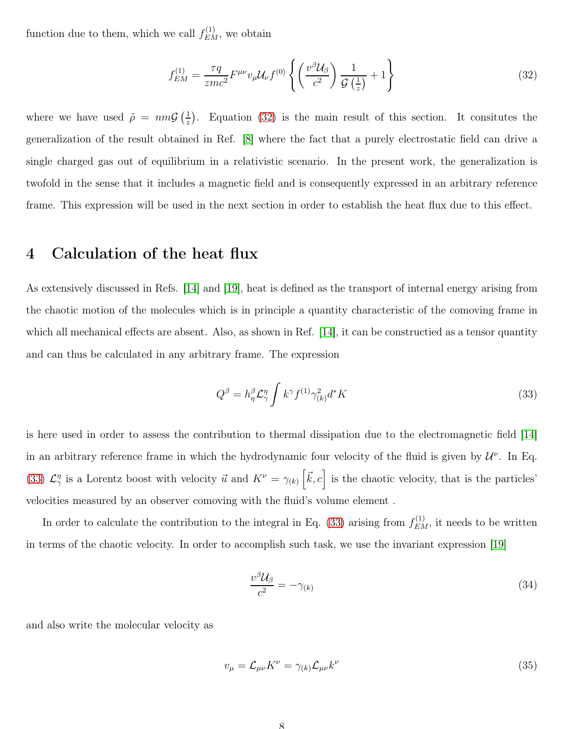function due to them, which we call  $f_{EM}^{(1)}$ , we obtain

<span id="page-7-0"></span>
$$
f_{EM}^{(1)} = \frac{\tau q}{zmc^2} F^{\mu\nu} v_{\mu} \mathcal{U}_{\nu} f^{(0)} \left\{ \left( \frac{v^{\beta} \mathcal{U}_{\beta}}{c^2} \right) \frac{1}{\mathcal{G} \left( \frac{1}{z} \right)} + 1 \right\}
$$
(32)

where we have used  $\tilde{\rho} = nm\mathcal{G}(\frac{1}{z})$  $\frac{1}{z}$ ). Equation [\(32\)](#page-7-0) is the main result of this section. It consitutes the generalization of the result obtained in Ref. [\[8\]](#page-10-1) where the fact that a purely electrostatic field can drive a single charged gas out of equilibrium in a relativistic scenario. In the present work, the generalization is twofold in the sense that it includes a magnetic field and is consequently expressed in an arbitrary reference frame. This expression will be used in the next section in order to establish the heat flux due to this effect.

#### 4 Calculation of the heat flux

As extensively discussed in Refs. [\[14\]](#page-11-4) and [\[19\]](#page-11-7), heat is defined as the transport of internal energy arising from the chaotic motion of the molecules which is in principle a quantity characteristic of the comoving frame in which all mechanical effects are absent. Also, as shown in Ref. [\[14\]](#page-11-4), it can be constructied as a tensor quantity and can thus be calculated in any arbitrary frame. The expression

<span id="page-7-1"></span>
$$
Q^{\beta} = h_{\eta}^{\beta} \mathcal{L}_{\gamma}^{\eta} \int k^{\gamma} f^{(1)} \gamma_{(k)}^2 d^* K \tag{33}
$$

is here used in order to assess the contribution to thermal dissipation due to the electromagnetic field [\[14\]](#page-11-4) in an arbitrary reference frame in which the hydrodynamic four velocity of the fluid is given by  $\mathcal{U}^{\nu}$ . In Eq. [\(33\)](#page-7-1)  $\mathcal{L}_{\gamma}^{\eta}$  is a Lorentz boost with velocity  $\vec{u}$  and  $K^{\nu} = \gamma_{(k)}\left[\vec{k}, c\right]$  is the chaotic velocity, that is the particles' velocities measured by an observer comoving with the fluid's volume element .

In order to calculate the contribution to the integral in Eq. [\(33\)](#page-7-1) arising from  $f_{EM}^{(1)}$ , it needs to be written in terms of the chaotic velocity. In order to accomplish such task, we use the invariant expression [\[19\]](#page-11-7)

$$
\frac{v^{\beta} \mathcal{U}_{\beta}}{c^2} = -\gamma_{(k)}\tag{34}
$$

and also write the molecular velocity as

$$
v_{\mu} = \mathcal{L}_{\mu\nu} K^{\nu} = \gamma_{(k)} \mathcal{L}_{\mu\nu} k^{\nu}
$$
\n(35)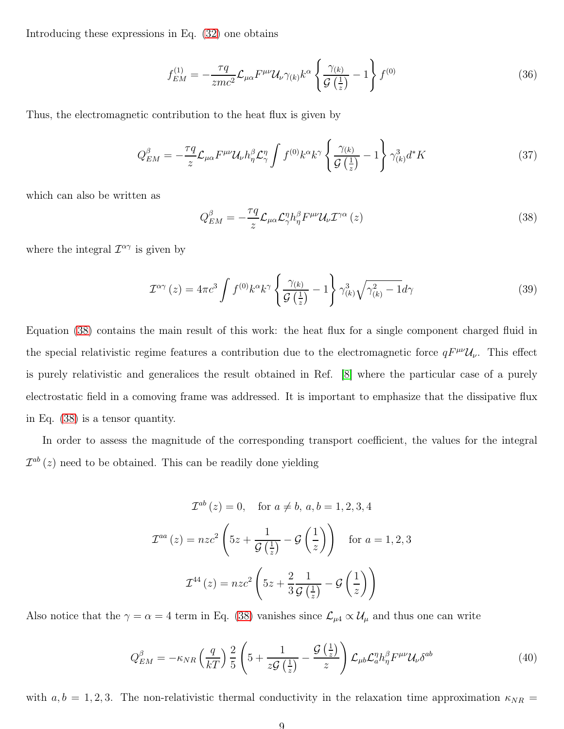Introducing these expressions in Eq. [\(32\)](#page-7-0) one obtains

$$
f_{EM}^{(1)} = -\frac{\tau q}{zmc^2} \mathcal{L}_{\mu\alpha} F^{\mu\nu} \mathcal{U}_{\nu} \gamma_{(k)} k^{\alpha} \left\{ \frac{\gamma_{(k)}}{\mathcal{G}\left(\frac{1}{z}\right)} - 1 \right\} f^{(0)} \tag{36}
$$

Thus, the electromagnetic contribution to the heat flux is given by

$$
Q_{EM}^{\beta} = -\frac{\tau q}{z} \mathcal{L}_{\mu\alpha} F^{\mu\nu} \mathcal{U}_{\nu} h_{\eta}^{\beta} \mathcal{L}_{\gamma}^{\eta} \int f^{(0)} k^{\alpha} k^{\gamma} \left\{ \frac{\gamma_{(k)}}{\mathcal{G}(\frac{1}{z})} - 1 \right\} \gamma_{(k)}^3 d^* K \tag{37}
$$

which can also be written as

<span id="page-8-1"></span>
$$
Q_{EM}^{\beta} = -\frac{\tau q}{z} \mathcal{L}_{\mu\alpha} \mathcal{L}_{\gamma}^{\eta} h_{\eta}^{\beta} F^{\mu\nu} \mathcal{U}_{\nu} \mathcal{I}^{\gamma\alpha} (z)
$$
 (38)

where the integral  $\mathcal{I}^{\alpha\gamma}$  is given by

<span id="page-8-0"></span>
$$
\mathcal{I}^{\alpha\gamma}(z) = 4\pi c^3 \int f^{(0)}k^{\alpha}k^{\gamma} \left\{ \frac{\gamma_{(k)}}{\mathcal{G}\left(\frac{1}{z}\right)} - 1 \right\} \gamma_{(k)}^3 \sqrt{\gamma_{(k)}^2 - 1} d\gamma \tag{39}
$$

Equation [\(38\)](#page-8-1) contains the main result of this work: the heat flux for a single component charged fluid in the special relativistic regime features a contribution due to the electromagnetic force  $qF^{\mu\nu}U_{\nu}$ . This effect is purely relativistic and generalices the result obtained in Ref. [\[8\]](#page-10-1) where the particular case of a purely electrostatic field in a comoving frame was addressed. It is important to emphasize that the dissipative flux in Eq. [\(38\)](#page-8-1) is a tensor quantity.

In order to assess the magnitude of the corresponding transport coefficient, the values for the integral  $\mathcal{I}^{ab}(z)$  need to be obtained. This can be readily done yielding

$$
\mathcal{I}^{ab}(z) = 0, \quad \text{for } a \neq b, a, b = 1, 2, 3, 4
$$

$$
\mathcal{I}^{aa}(z) = nzc^2 \left(5z + \frac{1}{\mathcal{G}\left(\frac{1}{z}\right)} - \mathcal{G}\left(\frac{1}{z}\right)\right) \quad \text{for } a = 1, 2, 3
$$

$$
\mathcal{I}^{44}(z) = nzc^2 \left(5z + \frac{2}{3}\frac{1}{\mathcal{G}\left(\frac{1}{z}\right)} - \mathcal{G}\left(\frac{1}{z}\right)\right)
$$

Also notice that the  $\gamma = \alpha = 4$  term in Eq. [\(38\)](#page-8-1) vanishes since  $\mathcal{L}_{\mu 4} \propto \mathcal{U}_{\mu}$  and thus one can write

<span id="page-8-2"></span>
$$
Q_{EM}^{\beta} = -\kappa_{NR} \left(\frac{q}{kT}\right) \frac{2}{5} \left(5 + \frac{1}{z\mathcal{G}\left(\frac{1}{z}\right)} - \frac{\mathcal{G}\left(\frac{1}{z}\right)}{z}\right) \mathcal{L}_{\mu b} \mathcal{L}_{a}^{\eta} h_{\eta}^{\beta} F^{\mu\nu} \mathcal{U}_{\nu} \delta^{ab} \tag{40}
$$

with  $a, b = 1, 2, 3$ . The non-relativistic thermal conductivity in the relaxation time approximation  $\kappa_{NR} =$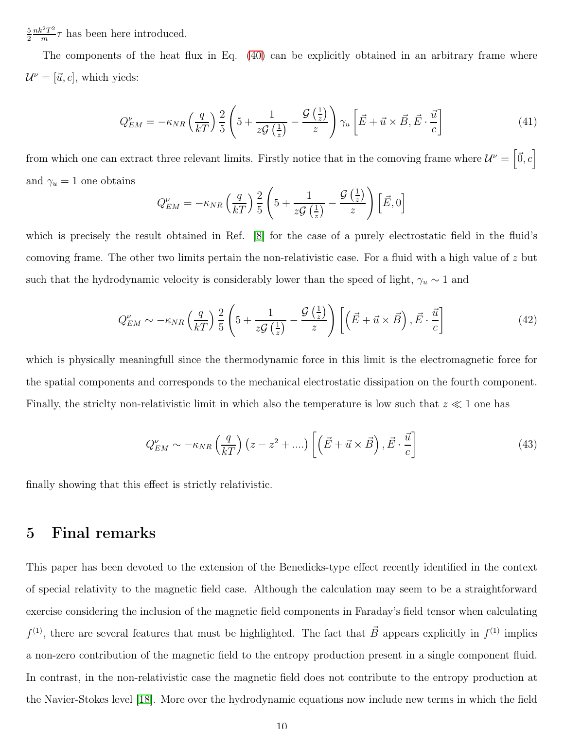5 2  $nk^2T^2$  $\frac{e^{2}T^{2}}{m}$  has been here introduced.

The components of the heat flux in Eq. [\(40\)](#page-8-2) can be explicitly obtained in an arbitrary frame where  $\mathcal{U}^{\nu} = [\vec{u}, c]$ , which yieds:

$$
Q_{EM}^{\nu} = -\kappa_{NR} \left(\frac{q}{kT}\right) \frac{2}{5} \left(5 + \frac{1}{z\mathcal{G}\left(\frac{1}{z}\right)} - \frac{\mathcal{G}\left(\frac{1}{z}\right)}{z}\right) \gamma_u \left[\vec{E} + \vec{u} \times \vec{B}, \vec{E} \cdot \frac{\vec{u}}{c}\right]
$$
(41)

from which one can extract three relevant limits. Firstly notice that in the comoving frame where  $\mathcal{U}^{\nu} = \left[\vec{0}, c\right]$ and  $\gamma_u = 1$  one obtains

$$
Q_{EM}^{\nu} = -\kappa_{NR} \left(\frac{q}{kT}\right) \frac{2}{5} \left(5 + \frac{1}{z\mathcal{G}\left(\frac{1}{z}\right)} - \frac{\mathcal{G}\left(\frac{1}{z}\right)}{z}\right) \left[\vec{E}, 0\right]
$$

which is precisely the result obtained in Ref. [\[8\]](#page-10-1) for the case of a purely electrostatic field in the fluid's comoving frame. The other two limits pertain the non-relativistic case. For a fluid with a high value of z but such that the hydrodynamic velocity is considerably lower than the speed of light,  $\gamma_u \sim 1$  and

$$
Q_{EM}^{\nu} \sim -\kappa_{NR} \left(\frac{q}{kT}\right) \frac{2}{5} \left(5 + \frac{1}{z\mathcal{G}\left(\frac{1}{z}\right)} - \frac{\mathcal{G}\left(\frac{1}{z}\right)}{z}\right) \left[\left(\vec{E} + \vec{u} \times \vec{B}\right), \vec{E} \cdot \frac{\vec{u}}{c}\right]
$$
(42)

which is physically meaningfull since the thermodynamic force in this limit is the electromagnetic force for the spatial components and corresponds to the mechanical electrostatic dissipation on the fourth component. Finally, the strictly non-relativistic limit in which also the temperature is low such that  $z \ll 1$  one has

$$
Q_{EM}^{\nu} \sim -\kappa_{NR} \left(\frac{q}{kT}\right) \left(z - z^2 + \ldots\right) \left[ \left(\vec{E} + \vec{u} \times \vec{B}\right), \vec{E} \cdot \frac{\vec{u}}{c} \right] \tag{43}
$$

finally showing that this effect is strictly relativistic.

## 5 Final remarks

This paper has been devoted to the extension of the Benedicks-type effect recently identified in the context of special relativity to the magnetic field case. Although the calculation may seem to be a straightforward exercise considering the inclusion of the magnetic field components in Faraday's field tensor when calculating  $f^{(1)}$ , there are several features that must be highlighted. The fact that  $\vec{B}$  appears explicitly in  $f^{(1)}$  implies a non-zero contribution of the magnetic field to the entropy production present in a single component fluid. In contrast, in the non-relativistic case the magnetic field does not contribute to the entropy production at the Navier-Stokes level [\[18\]](#page-11-8). More over the hydrodynamic equations now include new terms in which the field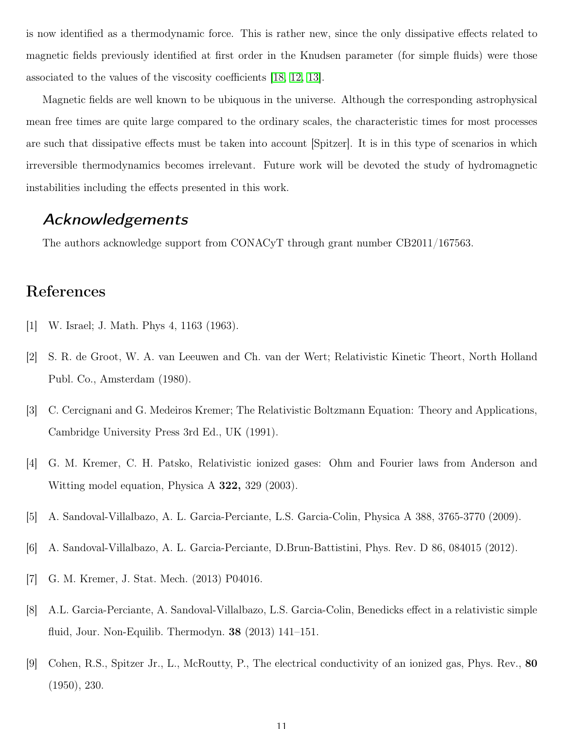is now identified as a thermodynamic force. This is rather new, since the only dissipative effects related to magnetic fields previously identified at first order in the Knudsen parameter (for simple fluids) were those associated to the values of the viscosity coefficients [\[18,](#page-11-8) [12,](#page-11-2) [13\]](#page-11-3).

Magnetic fields are well known to be ubiquous in the universe. Although the corresponding astrophysical mean free times are quite large compared to the ordinary scales, the characteristic times for most processes are such that dissipative effects must be taken into account [Spitzer]. It is in this type of scenarios in which irreversible thermodynamics becomes irrelevant. Future work will be devoted the study of hydromagnetic instabilities including the effects presented in this work.

## Acknowledgements

The authors acknowledge support from CONACyT through grant number CB2011/167563.

## References

- <span id="page-10-0"></span>[1] W. Israel; J. Math. Phys 4, 1163 (1963).
- [2] S. R. de Groot, W. A. van Leeuwen and Ch. van der Wert; Relativistic Kinetic Theort, North Holland Publ. Co., Amsterdam (1980).
- <span id="page-10-4"></span>[3] C. Cercignani and G. Medeiros Kremer; The Relativistic Boltzmann Equation: Theory and Applications, Cambridge University Press 3rd Ed., UK (1991).
- <span id="page-10-3"></span>[4] G. M. Kremer, C. H. Patsko, Relativistic ionized gases: Ohm and Fourier laws from Anderson and Witting model equation, Physica A 322, 329 (2003).
- [5] A. Sandoval-Villalbazo, A. L. Garcia-Perciante, L.S. Garcia-Colin, Physica A 388, 3765-3770 (2009).
- [6] A. Sandoval-Villalbazo, A. L. Garcia-Perciante, D.Brun-Battistini, Phys. Rev. D 86, 084015 (2012).
- [7] G. M. Kremer, J. Stat. Mech. (2013) P04016.
- <span id="page-10-1"></span>[8] A.L. Garcia-Perciante, A. Sandoval-Villalbazo, L.S. Garcia-Colin, Benedicks effect in a relativistic simple fluid, Jour. Non-Equilib. Thermodyn. 38 (2013) 141–151.
- <span id="page-10-2"></span>[9] Cohen, R.S., Spitzer Jr., L., McRoutty, P., The electrical conductivity of an ionized gas, Phys. Rev., 80 (1950), 230.